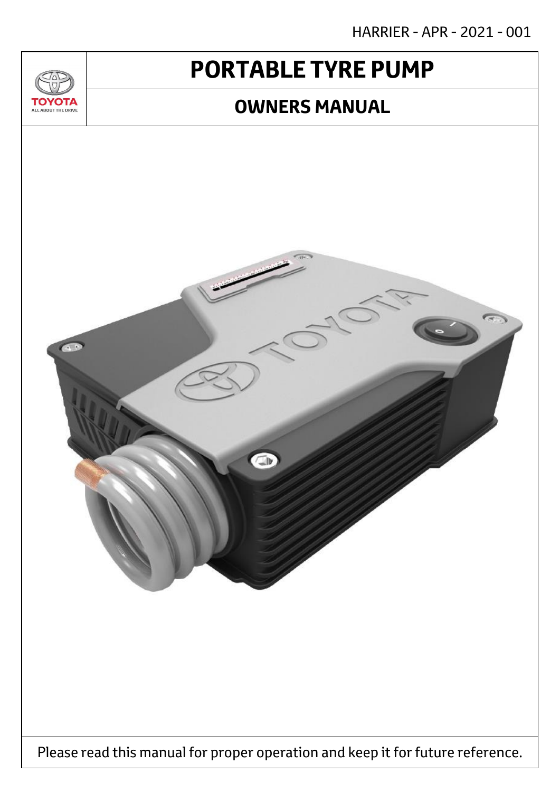HARRIER - APR - 2021 - 001

# **PORTABLE TYRE PUMP**

<u>JU/</u>

**TOYOTA** ALL ABOUT THE DRIVE

### **OWNERS MANUAL**



Please read this manual for proper operation and keep it for future reference.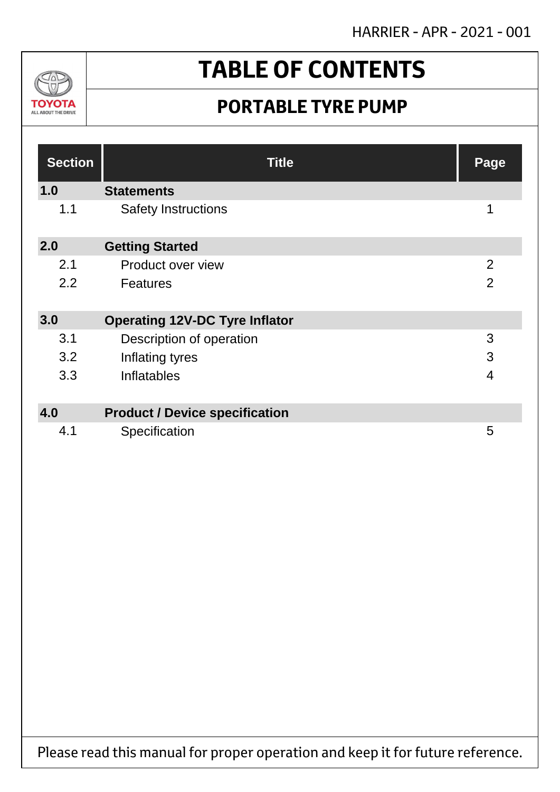HARRIER - APR - 2021 - 001



# **TABLE OF CONTENTS**

## **PORTABLE TYRE PUMP**

| <b>Section</b> | <b>Title</b>                          | Page           |
|----------------|---------------------------------------|----------------|
| 1.0            | <b>Statements</b>                     |                |
| 1.1            | <b>Safety Instructions</b>            | 1              |
| 2.0            | <b>Getting Started</b>                |                |
| 2.1            | Product over view                     | $\overline{2}$ |
| 2.2            | <b>Features</b>                       | $\overline{2}$ |
| 3.0            | <b>Operating 12V-DC Tyre Inflator</b> |                |
| 3.1            | Description of operation              | 3              |
| 3.2            | Inflating tyres                       | 3              |
| 3.3            | Inflatables                           | $\overline{4}$ |
|                |                                       |                |
| 4.0            | <b>Product / Device specification</b> |                |
| 4.1            | Specification                         | 5              |

Please read this manual for proper operation and keep it for future reference.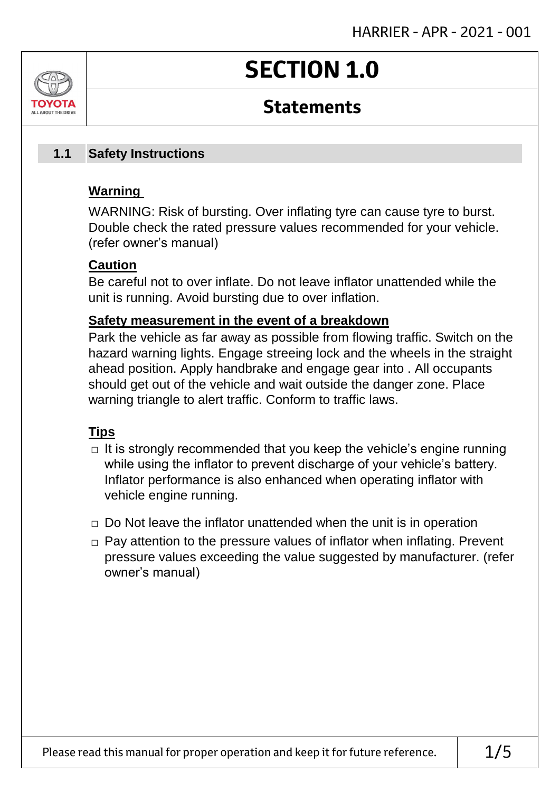# **SECTION 1.0**

### **Statements**

#### **Safety Instructions 1.1**

### **Warning**

ALL AROUT THE DRIV

WARNING: Risk of bursting. Over inflating tyre can cause tyre to burst. Double check the rated pressure values recommended for your vehicle. (refer owner's manual)

### **Caution**

Be careful not to over inflate. Do not leave inflator unattended while the unit is running. Avoid bursting due to over inflation.

### **Safety measurement in the event of a breakdown**

Park the vehicle as far away as possible from flowing traffic. Switch on the hazard warning lights. Engage streeing lock and the wheels in the straight ahead position. Apply handbrake and engage gear into . All occupants should get out of the vehicle and wait outside the danger zone. Place warning triangle to alert traffic. Conform to traffic laws.

### **Tips**

- $\Box$  It is strongly recommended that you keep the vehicle's engine running while using the inflator to prevent discharge of your vehicle's battery. Inflator performance is also enhanced when operating inflator with vehicle engine running.
- $\Box$  Do Not leave the inflator unattended when the unit is in operation
- □ Pay attention to the pressure values of inflator when inflating. Prevent pressure values exceeding the value suggested by manufacturer. (refer owner's manual)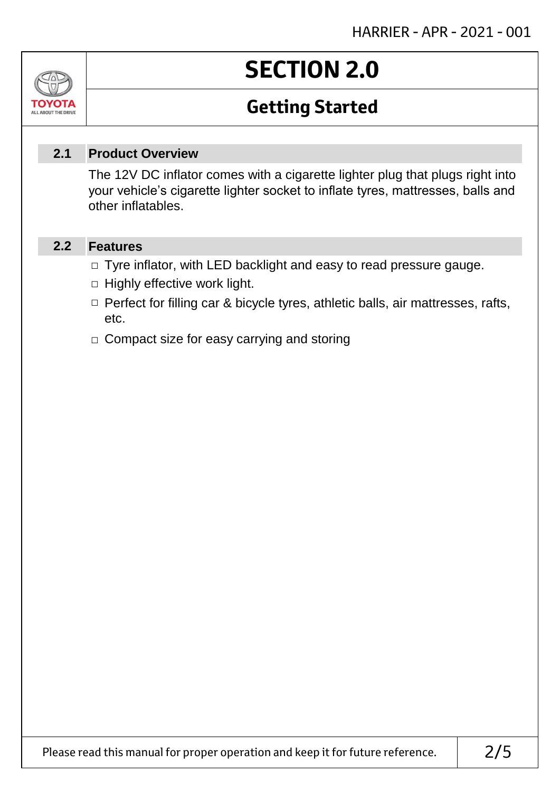# **SECTION 2.0**

## **Getting Started**

#### **Product Overview 2.1**

The 12V DC inflator comes with a cigarette lighter plug that plugs right into your vehicle's cigarette lighter socket to inflate tyres, mattresses, balls and other inflatables.

#### **Features 2.2**

Jn

TOVOIL ALL ABOUT THE DRIVE

- □ Tyre inflator, with LED backlight and easy to read pressure gauge.
- $\Box$  Highly effective work light.
- □ Perfect for filling car & bicycle tyres, athletic balls, air mattresses, rafts, etc.
- □ Compact size for easy carrying and storing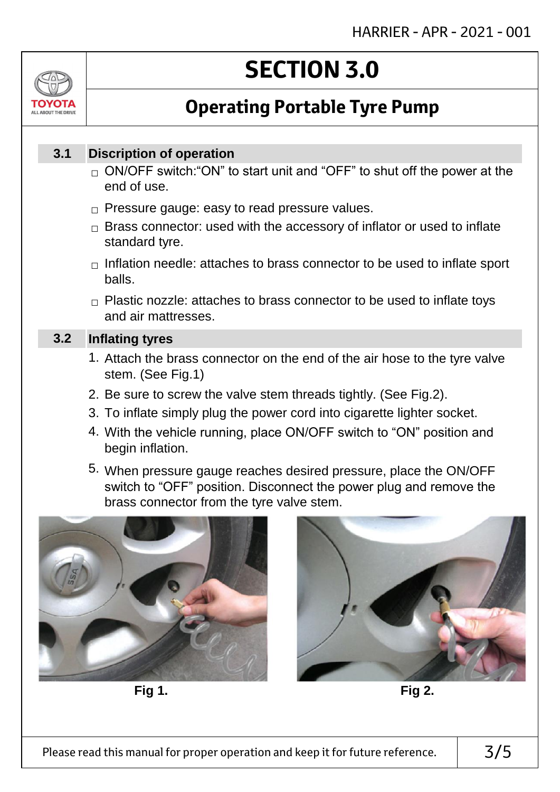

# **SECTION 3.0**

## **Operating Portable Tyre Pump**

#### **Discription of operation 3.1**

- $_\square$  ON/OFF switch:"ON" to start unit and "OFF" to shut off the power at the end of use.
- $\Box$  Pressure gauge: easy to read pressure values.
- $\Box$  Brass connector: used with the accessory of inflator or used to inflate standard tyre.
- $\Box$  Inflation needle: attaches to brass connector to be used to inflate sport balls.
- $\Box$  Plastic nozzle: attaches to brass connector to be used to inflate toys and air mattresses.

#### **Inflating tyres 3.2**

- 1. Attach the brass connector on the end of the air hose to the tyre valve stem. (See Fig.1)
- 2. Be sure to screw the valve stem threads tightly. (See Fig.2).
- 3. To inflate simply plug the power cord into cigarette lighter socket.
- 4. With the vehicle running, place ON/OFF switch to "ON" position and begin inflation.
- 5. When pressure gauge reaches desired pressure, place the ON/OFF switch to "OFF" position. Disconnect the power plug and remove the brass connector from the tyre valve stem.



**Fig 1. Fig 2.**

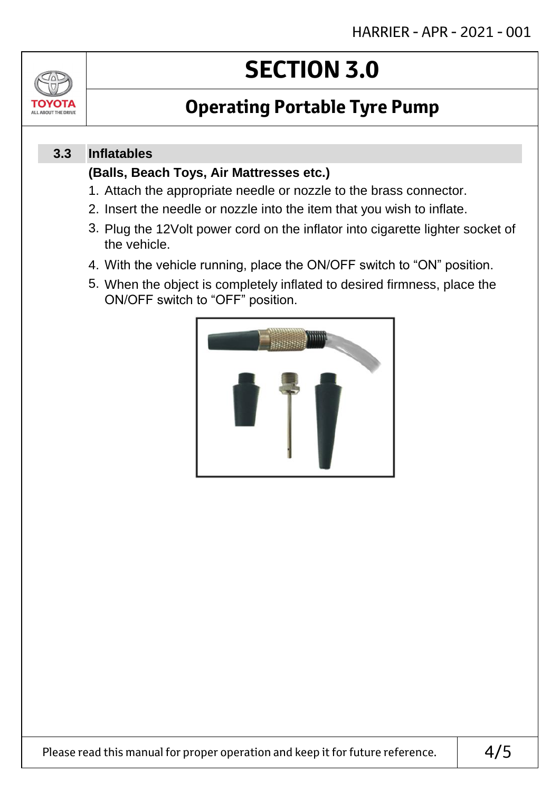

# **SECTION 3.0**

## **Operating Portable Tyre Pump**

#### **Inflatables 3.3**

### **(Balls, Beach Toys, Air Mattresses etc.)**

- 1. Attach the appropriate needle or nozzle to the brass connector.
- 2. Insert the needle or nozzle into the item that you wish to inflate.
- 3. Plug the 12Volt power cord on the inflator into cigarette lighter socket of the vehicle.
- 4. With the vehicle running, place the ON/OFF switch to "ON" position.
- 5. When the object is completely inflated to desired firmness, place the ON/OFF switch to "OFF" position.